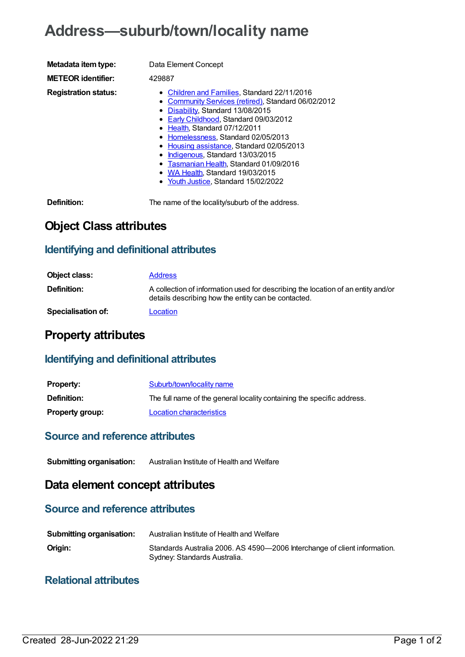# **Address—suburb/town/locality name**

| Metadata item type:         | Data Element Concept                                                                                                                                                                                                                                                                                                                                                                                                                                                    |
|-----------------------------|-------------------------------------------------------------------------------------------------------------------------------------------------------------------------------------------------------------------------------------------------------------------------------------------------------------------------------------------------------------------------------------------------------------------------------------------------------------------------|
| <b>METEOR identifier:</b>   | 429887                                                                                                                                                                                                                                                                                                                                                                                                                                                                  |
| <b>Registration status:</b> | • Children and Families, Standard 22/11/2016<br>• Community Services (retired), Standard 06/02/2012<br>• Disability, Standard 13/08/2015<br>• Early Childhood, Standard 09/03/2012<br>• Health, Standard 07/12/2011<br>• Homelessness, Standard 02/05/2013<br>• Housing assistance, Standard 02/05/2013<br>• Indigenous, Standard 13/03/2015<br>• Tasmanian Health, Standard 01/09/2016<br>• WA Health, Standard 19/03/2015<br>$\sim$ Vaith ligting Ctanderd 15/00/0000 |

• Youth [Justice](https://meteor.aihw.gov.au/RegistrationAuthority/4), Standard 15/02/2022

**Definition:** The name of the locality/suburb of the address.

## **Object Class attributes**

### **Identifying and definitional attributes**

| Object class:             | <b>Address</b>                                                                                                                          |
|---------------------------|-----------------------------------------------------------------------------------------------------------------------------------------|
| <b>Definition:</b>        | A collection of information used for describing the location of an entity and/or<br>details describing how the entity can be contacted. |
| <b>Specialisation of:</b> | Location                                                                                                                                |

### **Property attributes**

#### **Identifying and definitional attributes**

| <b>Property:</b>       | Suburb/town/locality name                                              |
|------------------------|------------------------------------------------------------------------|
| <b>Definition:</b>     | The full name of the general locality containing the specific address. |
| <b>Property group:</b> | Location characteristics                                               |

#### **Source and reference attributes**

**Submitting organisation:** Australian Institute of Health and Welfare

### **Data element concept attributes**

#### **Source and reference attributes**

| <b>Submitting organisation:</b> | Australian Institute of Health and Welfare                                                                |
|---------------------------------|-----------------------------------------------------------------------------------------------------------|
| Origin:                         | Standards Australia 2006. AS 4590-2006 Interchange of client information.<br>Sydney: Standards Australia. |

#### **Relational attributes**